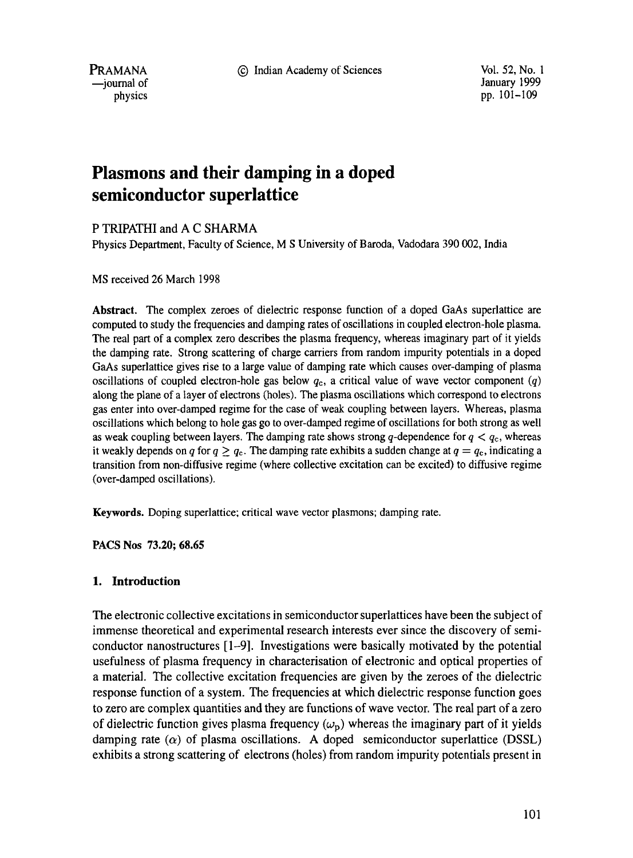9 Indian Academy of Sciences Vol. 52, No. 1

PRAMANA --journal of physics

January 1999 pp. 10t-109

# **Plasmons and their damping in a doped semiconductor superlattice**

P TRIPATHI and A C SHARMA

Physics Department, Faculty of Science, M S University of Baroda, Vadodara 390 002, India

MS received 26 March 1998

**Abstract.** The complex zeroes of dielectric response function of a doped GaAs superlattice are computed to study the frequencies and damping rates of oscillations in coupled electron-hole plasma. The real part of a complex zero describes the plasma frequency, whereas imaginary part of it yields the damping rate. Strong scattering of charge carriers from random impurity potentials in a doped GaAs superlattice gives rise to a large value of damping rate which causes over-damping of plasma oscillations of coupled electron-hole gas below  $q_c$ , a critical value of wave vector component  $(q)$ along the plane of a layer of electrons (holes). The plasma oscillations which correspond to electrons gas enter into over-damped regime for the case of weak coupling between layers. Whereas, plasma oscillations which belong to hole gas go to over-damped regime of oscillations for both strong as well as weak coupling between layers. The damping rate shows strong q-dependence for  $q < q_c$ , whereas it weakly depends on q for  $q \geq q_c$ . The damping rate exhibits a sudden change at  $q = q_c$ , indicating a transition from non-diffusive regime (where collective excitation can be excited) to diffusive regime (over-damped oscillations).

**Keywords.** Doping superlattice; critical wave vector plasmons; damping rate.

**PACS Nos 73.20; 68.65** 

# 1. **Introduction**

The electronic collective excitations in semiconductor superlattices have been the subject of immense theoretical and experimental research interests ever since the discovery of semiconductor nanostructures [1-9]. Investigations were basically motivated by the potential usefulness of plasma frequency in characterisation of electronic and optical properties of a material. The collective excitation frequencies are given by the zeroes of the dielectric response function of a system. The frequencies at which dielectric response function goes to zero are complex quantities and they are functions of wave vector. The real part of a zero of dielectric function gives plasma frequency  $(\omega_{\rm p})$  whereas the imaginary part of it yields damping rate  $(\alpha)$  of plasma oscillations. A doped semiconductor superlattice (DSSL) exhibits a strong scattering of electrons (holes) from random impurity potentials present in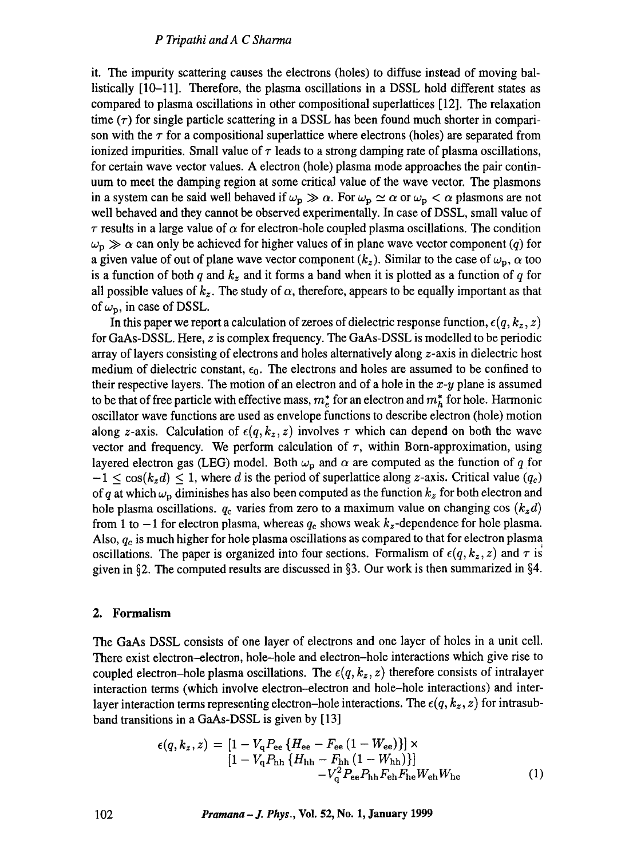## *P Tripathi andA C Sharma*

it. The impurity scattering causes the electrons (holes) to diffuse instead of moving ballistically [10-11]. Therefore, the plasma oscillations in a DSSL hold different states as compared to plasma oscillations in other compositional superlattices [12]. The relaxation time  $(\tau)$  for single particle scattering in a DSSL has been found much shorter in comparison with the  $\tau$  for a compositional superlattice where electrons (holes) are separated from ionized impurities. Small value of  $\tau$  leads to a strong damping rate of plasma oscillations, for certain wave vector values. A electron (hole) plasma mode approaches the pair continuum to meet the damping region at some critical value of the wave vector. The plasmons in a system can be said well behaved if  $\omega_p \gg \alpha$ . For  $\omega_p \simeq \alpha$  or  $\omega_p < \alpha$  plasmons are not well behaved and they cannot be observed experimentally. In case of DSSL, small value of  $\tau$  results in a large value of  $\alpha$  for electron-hole coupled plasma oscillations. The condition  $\omega_{\rm p} \gg \alpha$  can only be achieved for higher values of in plane wave vector component (q) for a given value of out of plane wave vector component  $(k_z)$ . Similar to the case of  $\omega_p$ ,  $\alpha$  too is a function of both q and  $k_z$  and it forms a band when it is plotted as a function of q for all possible values of  $k_z$ . The study of  $\alpha$ , therefore, appears to be equally important as that of  $\omega_{\rm p}$ , in case of DSSL.

In this paper we report a calculation of zeroes of dielectric response function,  $\epsilon(q, k_z, z)$ for GaAs-DSSL. Here, z is complex frequency. The GaAs-DSSL is modelled to be periodic array of layers consisting of electrons and holes alternatively along z-axis in dielectric host medium of dielectric constant,  $\epsilon_0$ . The electrons and holes are assumed to be confined to their respective layers. The motion of an electron and of a hole in the *x-y* plane is assumed to be that of free particle with effective mass,  $m_e^*$  for an electron and  $m_h^*$  for hole. Harmonic oscillator wave functions are used as envelope functions to describe electron (hole) motion along z-axis. Calculation of  $\epsilon(q, k_z, z)$  involves  $\tau$  which can depend on both the wave vector and frequency. We perform calculation of  $\tau$ , within Born-approximation, using layered electron gas (LEG) model. Both  $\omega_{\rm p}$  and  $\alpha$  are computed as the function of q for  $-1 < \cos(k_z d) < 1$ , where d is the period of superlattice along z-axis. Critical value  $(q_c)$ of q at which  $\omega_p$  diminishes has also been computed as the function  $k_z$  for both electron and hole plasma oscillations.  $q_c$  varies from zero to a maximum value on changing cos  $(k_z d)$ from 1 to  $-1$  for electron plasma, whereas  $q_c$  shows weak  $k_z$ -dependence for hole plasma. Also,  $q_c$  is much higher for hole plasma oscillations as compared to that for electron plasma oscillations. The paper is organized into four sections. Formalism of  $\epsilon(q, k_z, z)$  and  $\tau$  is given in §2. The computed results are discussed in §3. Our work is then summarized in §4.

#### **2. Formalism**

The GaAs DSSL consists of one layer of electrons and one layer of holes in a unit cell. There exist electron--electron, hole-hole and electron-hole interactions which give rise to coupled electron-hole plasma oscillations. The  $\epsilon(q, k_z, z)$  therefore consists of intralayer interaction terms (which involve electron-electron and hole-hole interactions) and interlayer interaction terms representing electron-hole interactions. The  $\epsilon(q, k_z, z)$  for intrasubband transitions in a GaAs-DSSL is given by [13]

$$
\epsilon(q, k_z, z) = [1 - V_q P_{ee} \{H_{ee} - F_{ee} (1 - W_{ee})\}] \times [1 - V_q P_{hh} \{H_{hh} - F_{hh} (1 - W_{hh})\}] - V_q^2 P_{ee} P_{hh} F_{he} W_{eh} W_{he}
$$
(1)

**102** *Pramana-J. Phys.,* **Vol. 52, No. 1, January 1999**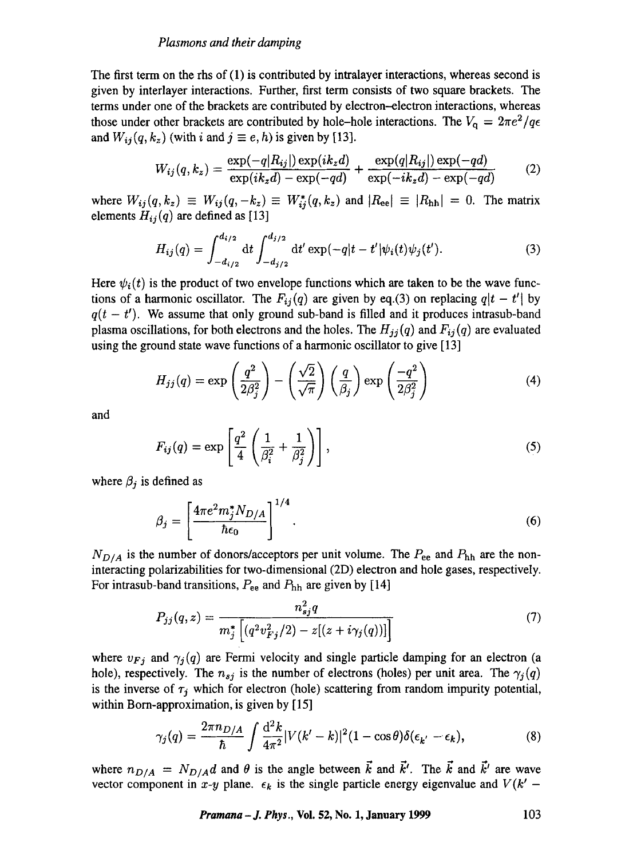The first term on the rhs of (1) is contributed by intralayer interactions, whereas second is given by interlayer interactions. Further, first term consists of two square brackets. The terms under one of the brackets are contributed by electron--electron interactions, whereas those under other brackets are contributed by hole-hole interactions. The  $V_{q} = 2\pi e^{2}/q\epsilon$ and  $W_{ij}(q, k_z)$  (with i and  $j \equiv e, h$ ) is given by [13].

$$
W_{ij}(q,k_z) = \frac{\exp(-q|R_{ij}|)\exp(ik_zd)}{\exp(ik_zd) - \exp(-qd)} + \frac{\exp(q|R_{ij}|)\exp(-qd)}{\exp(-ik_zd) - \exp(-qd)}\tag{2}
$$

where  $W_{ij}(q, k_z) \equiv W_{ij}(q, -k_z) \equiv W_{ij}(q, k_z)$  and  $|R_{ee}| \equiv |R_{hh}| = 0$ . The matrix elements  $H_{ij}(q)$  are defined as [13]

$$
H_{ij}(q) = \int_{-d_{i/2}}^{d_{i/2}} dt \int_{-d_{j/2}}^{d_{j/2}} dt' \exp(-q|t - t'| \psi_i(t) \psi_j(t'). \tag{3}
$$

Here  $\psi_i(t)$  is the product of two envelope functions which are taken to be the wave functions of a harmonic oscillator. The  $F_{ij}(q)$  are given by eq.(3) on replacing  $q|t - t'|$  by  $q(t - t')$ . We assume that only ground sub-band is filled and it produces intrasub-band plasma oscillations, for both electrons and the holes. The  $H_{ij}(q)$  and  $F_{ij}(q)$  are evaluated using the ground state wave functions of a harmonic oscillator to give [13]

$$
H_{jj}(q) = \exp\left(\frac{q^2}{2\beta_j^2}\right) - \left(\frac{\sqrt{2}}{\sqrt{\pi}}\right)\left(\frac{q}{\beta_j}\right)\exp\left(\frac{-q^2}{2\beta_j^2}\right) \tag{4}
$$

and

$$
F_{ij}(q) = \exp\left[\frac{q^2}{4}\left(\frac{1}{\beta_i^2} + \frac{1}{\beta_j^2}\right)\right],\tag{5}
$$

where  $\beta_j$  is defined as

$$
\beta_j = \left[\frac{4\pi e^2 m_j^* N_{D/A}}{\hbar \epsilon_0}\right]^{1/4}.\tag{6}
$$

 $N_{D/A}$  is the number of donors/acceptors per unit volume. The  $P_{ee}$  and  $P_{hh}$  are the noninteracting polarizabilities for two-dimensional (2D) electron and hole gases, respectively. For intrasub-band transitions,  $P_{ee}$  and  $P_{hh}$  are given by [14]

$$
P_{jj}(q,z) = \frac{n_{sj}^2 q}{m_j^* \left[ (q^2 v_{Fj}^2/2) - z[(z + i\gamma_j(q)) ] \right]}
$$
(7)

where  $v_{Fj}$  and  $\gamma_j(q)$  are Fermi velocity and single particle damping for an electron (a hole), respectively. The  $n_{sj}$  is the number of electrons (holes) per unit area. The  $\gamma_j(q)$ is the inverse of  $\tau_j$  which for electron (hole) scattering from random impurity potential, within Born-approximation, is given by [15]

$$
\gamma_j(q) = \frac{2\pi n_{D/A}}{\hbar} \int \frac{\mathrm{d}^2 k}{4\pi^2} |V(k'-k)|^2 (1 - \cos\theta) \delta(\epsilon_{k'} - \epsilon_k), \tag{8}
$$

where  $n_{D/A} = N_{D/A}d$  and  $\theta$  is the angle between  $\vec{k}$  and  $\vec{k}'$ . The  $\vec{k}$  and  $\vec{k}'$  are wave vector component in *x-y* plane.  $\epsilon_k$  is the single particle energy eigenvalue and  $V(k' -$ 

*Pramana – J. Phys., Vol. 52, No. 1, January 1999* **103**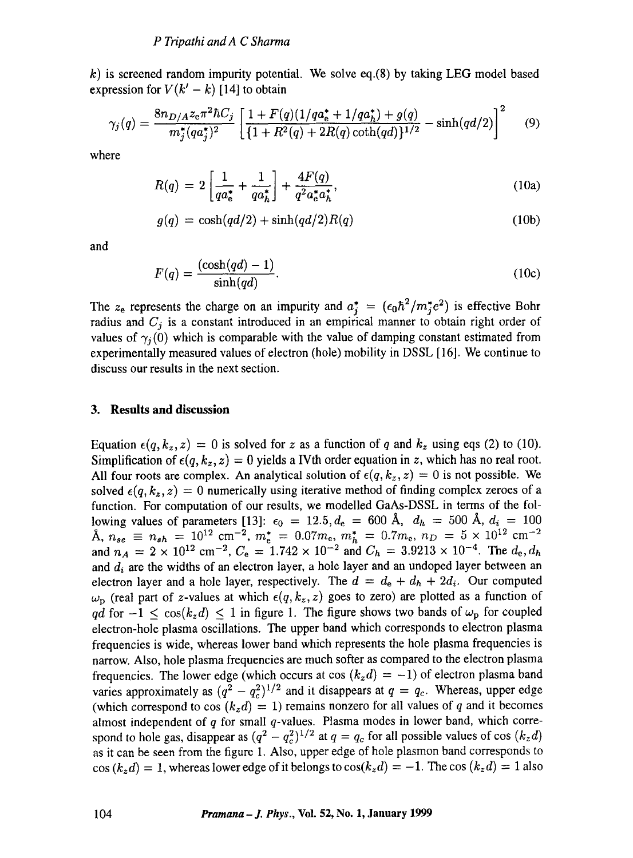k) is screened random impurity potential. We solve eq.(8) by taking LEG model based expression for  $V(k'-k)$  [14] to obtain

$$
\gamma_j(q) = \frac{8n_{D/A}z_e\pi^2\hbar C_j}{m_j^*(qa_j^*)^2} \left[ \frac{1 + F(q)(1/qa_e^* + 1/qa_h^*) + g(q)}{\{1 + R^2(q) + 2R(q)\coth(qd)\}^{1/2}} - \sinh(qd/2) \right]^2 \tag{9}
$$

where

$$
R(q) = 2\left[\frac{1}{qa_e^*} + \frac{1}{qa_h^*}\right] + \frac{4F(q)}{q^2 a_e^* a_h^*},\tag{10a}
$$

$$
g(q) = \cosh(qd/2) + \sinh(qd/2)R(q)
$$
\n(10b)

and

$$
F(q) = \frac{(\cosh(qd) - 1)}{\sinh(qd)}.
$$
 (10c)

The  $z_e$  represents the charge on an impurity and  $a_i^* = (\epsilon_0 \hbar^2/m_i^* e^2)$  is effective Bohr radius and *Cj* is a constant introduced in an empirical manner to obtain right order of values of  $\gamma_i(0)$  which is comparable with the value of damping constant estimated from experimentally measured values of electron (hole) mobility in DSSL [16]. We continue to discuss our results in the next section.

#### **3. Results and discussion**

Equation  $\epsilon(q, k_z, z) = 0$  is solved for z as a function of q and  $k_z$  using eqs (2) to (10). Simplification of  $\epsilon(q, k_z, z) = 0$  yields a IVth order equation in z, which has no real root. All four roots are complex. An analytical solution of  $\epsilon(q, k_z, z) = 0$  is not possible. We solved  $\epsilon(q, k_z, z) = 0$  numerically using iterative method of finding complex zeroes of a function. For computation of our results, we modelled GaAs-DSSL in terms of the following values of parameters [13]:  $\epsilon_0 = 12.5, d_e = 600 \text{ Å}, d_h = 500 \text{ Å}, d_i = 100$  $\lambda$ ,  $n_{se} \equiv n_{sh} = 10^{12} \text{ cm}^{-2}$ ,  $m_{e}^{*} = 0.07m_{e}$ ,  $m_{h}^{*} = 0.7m_{e}$ ,  $n_{D} = 5 \times 10^{12} \text{ cm}^{-2}$ and  $n_A = 2 \times 10^{12}$  cm<sup>-2</sup>,  $C_e = 1.742 \times 10^{-2}$  and  $C_h = 3.9213 \times 10^{-4}$ . The  $d_e, d_h$ and  $d_i$  are the widths of an electron layer, a hole layer and an undoped layer between an electron layer and a hole layer, respectively. The  $d = d_e + d_h + 2d_i$ . Our computed  $\omega_{\rm p}$  (real part of z-values at which  $\epsilon(q, k_z, z)$  goes to zero) are plotted as a function of *qd* for  $-1 \leq \cos(k_z d) \leq 1$  in figure 1. The figure shows two bands of  $\omega_p$  for coupled electron-hole plasma oscillations. The upper band which corresponds to electron plasma frequencies is wide, whereas lower band which represents the hole plasma frequencies is narrow. Also, hole plasma frequencies are much softer as compared to the electron plasma frequencies. The lower edge (which occurs at cos  $(k_z d) = -1$ ) of electron plasma band varies approximately as  $(q^2 - q_c^2)^{1/2}$  and it disappears at  $q = q_c$ . Whereas, upper edge (which correspond to cos  $(k_z d) = 1$ ) remains nonzero for all values of q and it becomes almost independent of  $q$  for small  $q$ -values. Plasma modes in lower band, which correspond to hole gas, disappear as  $(q^2 - q_c^2)^{1/2}$  at  $q = q_c$  for all possible values of cos  $(k_z d)$ as it can be seen from the figure 1. Also, upper edge of hole plasmon band corresponds to  $\cos(k_z d) = 1$ , whereas lower edge of it belongs to  $\cos(k_z d) = -1$ . The cos  $(k_z d) = 1$  also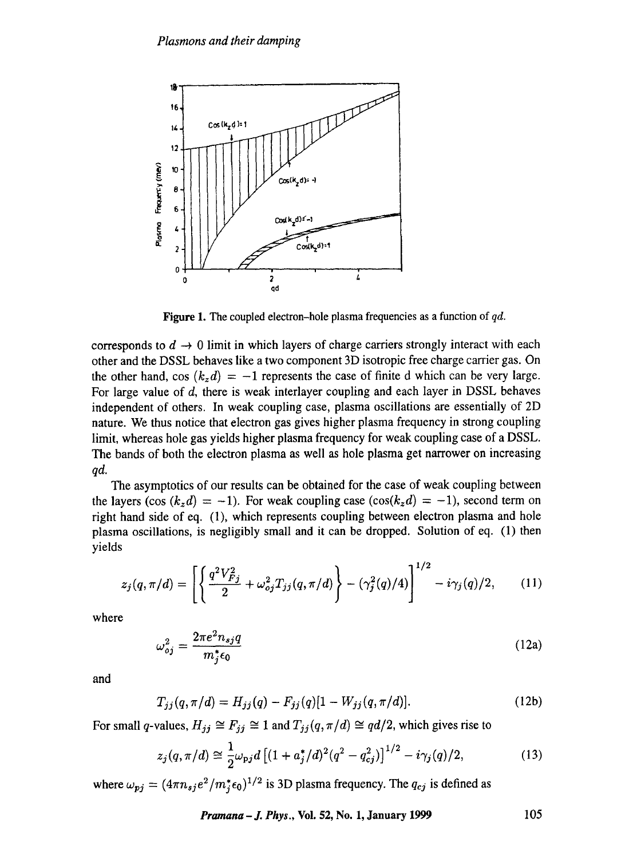

**Figure** 1. The coupled electron-hole plasma frequencies as a function of *qd.* 

corresponds to  $d \to 0$  limit in which layers of charge carriers strongly interact with each other and the DSSL behaves like a two component 3D isotropic free charge carrier gas. On the other hand, cos  $(k_z d) = -1$  represents the case of finite d which can be very large. For large value of d, there is weak interlayer coupling and each layer in DSSL behaves independent of others. In weak coupling case, plasma oscillations are essentially of 2D nature. We thus notice that electron gas gives higher plasma frequency in strong coupling limit, whereas hole gas yields higher plasma frequency for weak coupling case of a DSSL. The bands of both the electron plasma as well as hole plasma get narrower on increasing *qd.* 

The asymptotics of our results can be obtained for the case of weak coupling between the layers (cos  $(k_z d) = -1$ ). For weak coupling case  $(cos(k_z d) = -1)$ , second term on right hand side of eq. (1), which represents coupling between electron plasma and hole plasma oscillations, is negligibly small and it can be dropped. Solution of eq. (1) then yields

$$
z_j(q, \pi/d) = \left[ \left\{ \frac{q^2 V_{Fj}^2}{2} + \omega_{oj}^2 T_{jj}(q, \pi/d) \right\} - (\gamma_j^2(q)/4) \right]^{1/2} - i \gamma_j(q)/2, \qquad (11)
$$

where

$$
\omega_{oj}^2 = \frac{2\pi e^2 n_{sj} q}{m_j^* \epsilon_0} \tag{12a}
$$

**and** 

$$
T_{jj}(q, \pi/d) = H_{jj}(q) - F_{jj}(q)[1 - W_{jj}(q, \pi/d)].
$$
\n(12b)

For small q-values,  $H_{jj} \cong F_{jj} \cong 1$  and  $T_{jj} (q, \pi/d) \cong qd/2$ , which gives rise to

$$
z_j(q, \pi/d) \cong \frac{1}{2} \omega_{\rm pj} d \left[ (1 + a_j^* / d)^2 (q^2 - q_{cj}^2) \right]^{1/2} - i \gamma_j(q)/2, \tag{13}
$$

where  $\omega_{pj} = (4\pi n_{sj}e^2/m_j^* \epsilon_0)^{1/2}$  is 3D plasma frequency. The  $q_{cj}$  is defined as

*Pramana – J. Phys., Vol.* 52, No. 1, January 1999 105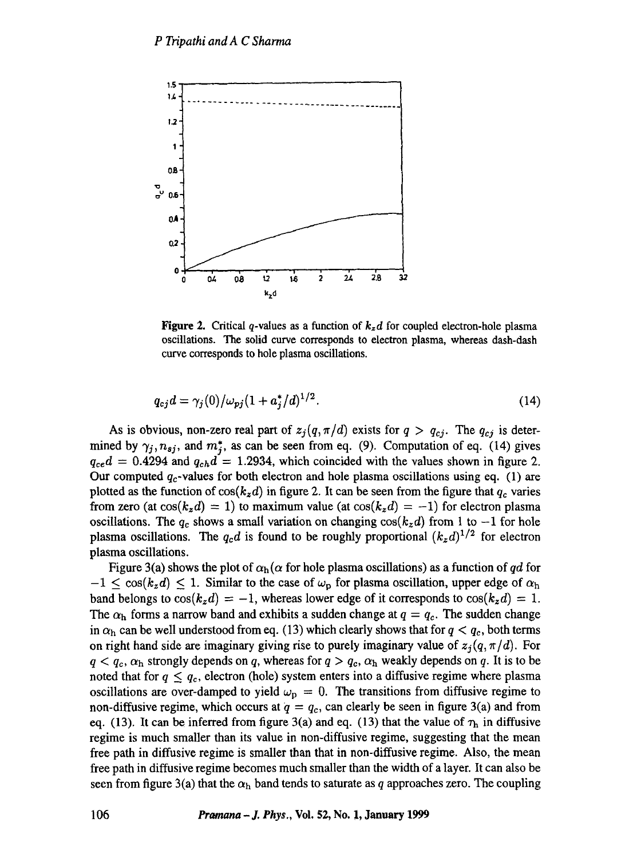

**Figure 2.** Critical q-values as a function of  $k_zd$  for coupled electron-hole plasma oscillations. The solid curve corresponds to electron plasma, whereas dash-dash curve corresponds to hole plasma oscillations.

$$
q_{cj}d = \gamma_j(0)/\omega_{pj}(1 + a_j^*/d)^{1/2}.
$$
 (14)

As is obvious, non-zero real part of  $z_j(q, \pi/d)$  exists for  $q > q_{cj}$ . The  $q_{cj}$  is determined by  $\gamma_j, n_{sj}$ , and  $m^*_j$ , as can be seen from eq. (9). Computation of eq. (14) gives  $q_{ce}d = 0.4294$  and  $q_{ch}d = 1.2934$ , which coincided with the values shown in figure 2. Our computed  $q_c$ -values for both electron and hole plasma oscillations using eq. (1) are plotted as the function of  $cos(k_z d)$  in figure 2. It can be seen from the figure that  $q_c$  varies from zero (at  $cos(k_z d) = 1$ ) to maximum value (at  $cos(k_z d) = -1$ ) for electron plasma oscillations. The  $q_c$  shows a small variation on changing  $cos(k_z d)$  from 1 to  $-1$  for hole plasma oscillations. The  $q_c d$  is found to be roughly proportional  $(k_z d)^{1/2}$  for electron plasma oscillations.

Figure 3(a) shows the plot of  $\alpha_h(\alpha)$  for hole plasma oscillations) as a function of *qd* for  $-1 \leq \cos(k_z d) \leq 1$ . Similar to the case of  $\omega_p$  for plasma oscillation, upper edge of  $\alpha_h$ band belongs to  $cos(k_z d) = -1$ , whereas lower edge of it corresponds to  $cos(k_z d) = 1$ . The  $\alpha_h$  forms a narrow band and exhibits a sudden change at  $q = q_c$ . The sudden change in  $\alpha_h$  can be well understood from eq. (13) which clearly shows that for  $q < q_c$ , both terms on right hand side are imaginary giving rise to purely imaginary value of  $z_j(q, \pi/d)$ . For  $q < q_c$ ,  $\alpha_h$  strongly depends on q, whereas for  $q > q_c$ ,  $\alpha_h$  weakly depends on q. It is to be noted that for  $q \leq q_c$ , electron (hole) system enters into a diffusive regime where plasma oscillations are over-damped to yield  $\omega_p = 0$ . The transitions from diffusive regime to non-diffusive regime, which occurs at  $q = q_c$ , can clearly be seen in figure 3(a) and from eq. (13). It can be inferred from figure 3(a) and eq. (13) that the value of  $\tau_h$  in diffusive regime is much smaller than its value in non-diffusive regime, suggesting that the mean free path in diffusive regime is smaller than that in non-diffusive regime. Also, the mean free path in diffusive regime becomes much smaller than the width of a layer. It can also be seen from figure 3(a) that the  $\alpha_h$  band tends to saturate as q approaches zero. The coupling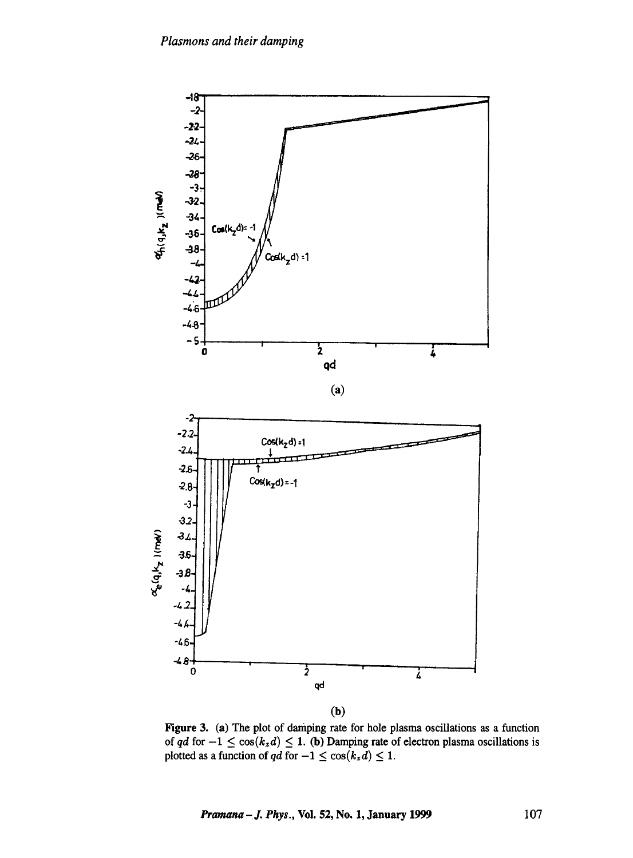

Figure 3. (a) The plot of damping rate for hole plasma oscillations as a function of *qd* for  $-1 \leq \cos(k_z d) \leq 1$ . (b) Damping rate of electron plasma oscillations is plotted as a function of  $qd$  for  $-1 \leq \cos(k_z d) \leq 1$ .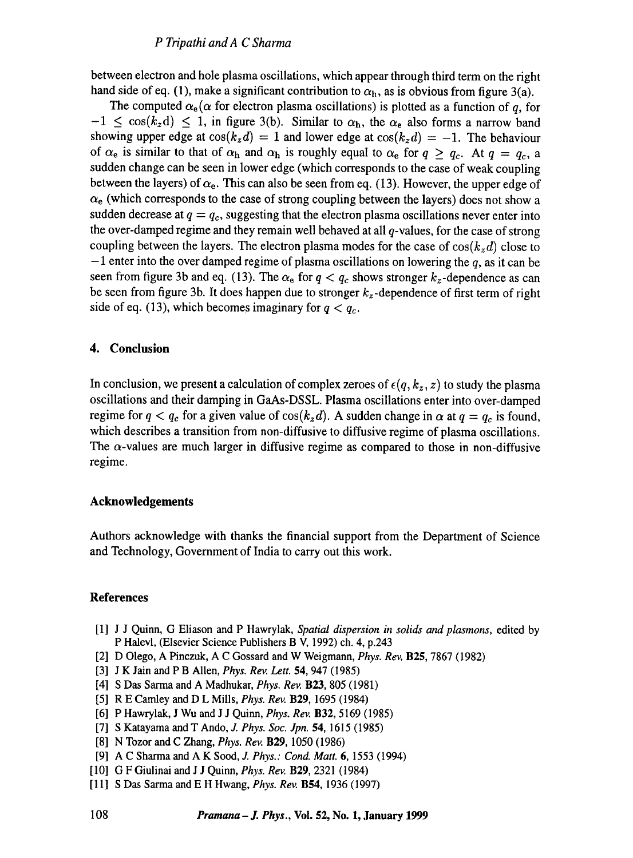between electron and hole plasma oscillations, which appear through third term on the right hand side of eq. (1), make a significant contribution to  $\alpha_h$ , as is obvious from figure 3(a).

The computed  $\alpha_e(\alpha)$  for electron plasma oscillations) is plotted as a function of q, for  $-1 \leq \cos(k_z d) \leq 1$ , in figure 3(b). Similar to  $\alpha_h$ , the  $\alpha_e$  also forms a narrow band showing upper edge at  $cos(k_z d) = 1$  and lower edge at  $cos(k_z d) = -1$ . The behaviour of  $\alpha_e$  is similar to that of  $\alpha_h$  and  $\alpha_h$  is roughly equal to  $\alpha_e$  for  $q \ge q_c$ . At  $q = q_c$ , a sudden change can be seen in lower edge (which corresponds to the case of weak coupling between the layers) of  $\alpha_e$ . This can also be seen from eq. (13). However, the upper edge of  $\alpha_e$  (which corresponds to the case of strong coupling between the layers) does not show a sudden decrease at  $q = q_c$ , suggesting that the electron plasma oscillations never enter into the over-damped regime and they remain well behaved at all  $q$ -values, for the case of strong coupling between the layers. The electron plasma modes for the case of  $cos(k_z d)$  close to  $-1$  enter into the over damped regime of plasma oscillations on lowering the q, as it can be seen from figure 3b and eq. (13). The  $\alpha_e$  for  $q < q_c$  shows stronger  $k_z$ -dependence as can be seen from figure 3b. It does happen due to stronger  $k_z$ -dependence of first term of right side of eq. (13), which becomes imaginary for  $q < q_c$ .

## **4. Conclusion**

In conclusion, we present a calculation of complex zeroes of  $\epsilon(q, k_z, z)$  to study the plasma oscillations and their damping in GaAs-DSSL. Plasma oscillations enter into over-damped regime for  $q < q_c$  for a given value of  $\cos(k_z d)$ . A sudden change in  $\alpha$  at  $q = q_c$  is found, which describes a transition from non-diffusive to diffusive regime of plasma oscillations. The  $\alpha$ -values are much larger in diffusive regime as compared to those in non-diffusive regime.

### **Acknowledgements**

Authors acknowledge with thanks the financial support from the Department of Science and Technology, Government of India to carry out this work.

# **References**

- [1] J J Quinn, G Eliason and P Hawrylak, *Spatial dispersion in solids and plasmons,* edited by P Halevl, (Elsevier Science Publishers B V, 1992) ch. 4, p.243
- [2] D Olego, A Pinczuk, A C Gossard and W Weigmann, *Phys. Rev.* B25, 7867 (1982)
- [3] J K Jain and P B Allen, *Phys. Rev. Lett.* 54, 947 (1985)
- [4] S Das Sarma and A Madhukar, *Phys. Rev.* B23, 805 (1981)
- [5] R E Camley and D L Mills, *Phys. Rev.* B29, 1695 (1984)
- [6] P Hawrylak, J Wu and J J Quinn, *Phys. Rev.* B32, 5169 (1985)
- [7] S Katayama and T Ando, J. *Phys. Soc. Jpn.* 54, 1615 (1985)
- [8] N Tozor and C Zhang, *Phys. Rev.* B29, 1050 (1986)
- [9] A C Sharma and A K Sood, *J. Phys.: Cond. Matt.* 6, 1553 (1994)
- [10] G F Giulinai and J J Quinn, *Phys. Rev.* B29, 2321 (1984)
- [11] S Das Sarma and E H Hwang, *Phys. Rev.* B54, 1936 (1997)